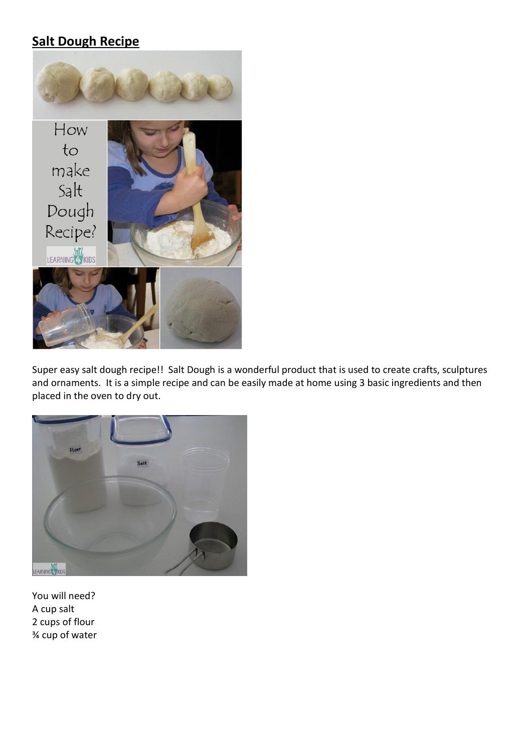## **Salt Dough Recipe**



Super easy salt dough recipe!! Salt Dough is a wonderful product that is used to create crafts, sculptures and ornaments. It is a simple recipe and can be easily made at home using 3 basic ingredients and then placed in the oven to dry out.



You will need? A cup salt 2 cups of flour ¾ cup of water